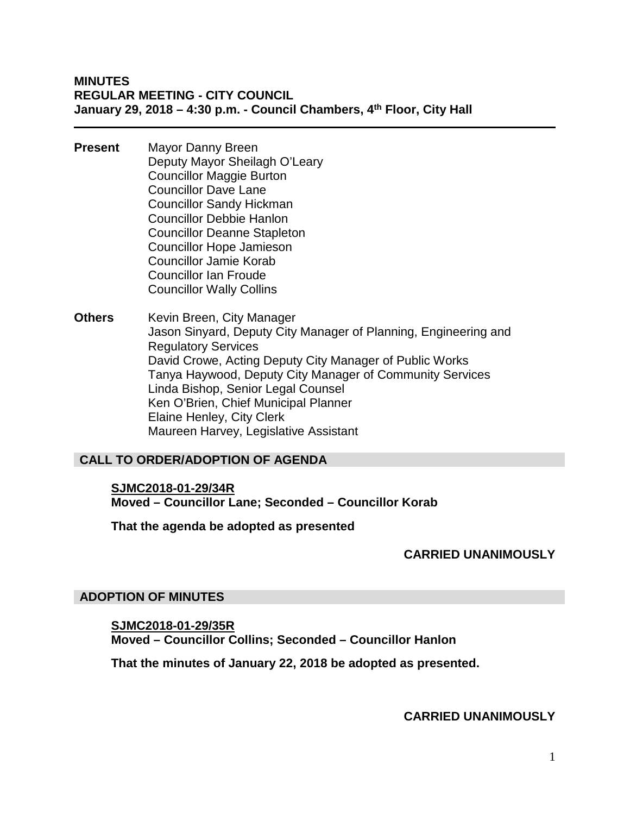#### **MINUTES REGULAR MEETING - CITY COUNCIL January 29, 2018 – 4:30 p.m. - Council Chambers, 4th Floor, City Hall**

- **Present** Mayor Danny Breen Deputy Mayor Sheilagh O'Leary Councillor Maggie Burton Councillor Dave Lane Councillor Sandy Hickman Councillor Debbie Hanlon Councillor Deanne Stapleton Councillor Hope Jamieson Councillor Jamie Korab Councillor Ian Froude Councillor Wally Collins
- **Others** Kevin Breen, City Manager Jason Sinyard, Deputy City Manager of Planning, Engineering and Regulatory Services David Crowe, Acting Deputy City Manager of Public Works Tanya Haywood, Deputy City Manager of Community Services Linda Bishop, Senior Legal Counsel Ken O'Brien, Chief Municipal Planner Elaine Henley, City Clerk Maureen Harvey, Legislative Assistant

## **CALL TO ORDER/ADOPTION OF AGENDA**

**SJMC2018-01-29/34R Moved – Councillor Lane; Seconded – Councillor Korab**

**That the agenda be adopted as presented**

**CARRIED UNANIMOUSLY**

#### **ADOPTION OF MINUTES**

**SJMC2018-01-29/35R Moved – Councillor Collins; Seconded – Councillor Hanlon**

**That the minutes of January 22, 2018 be adopted as presented.**

**CARRIED UNANIMOUSLY**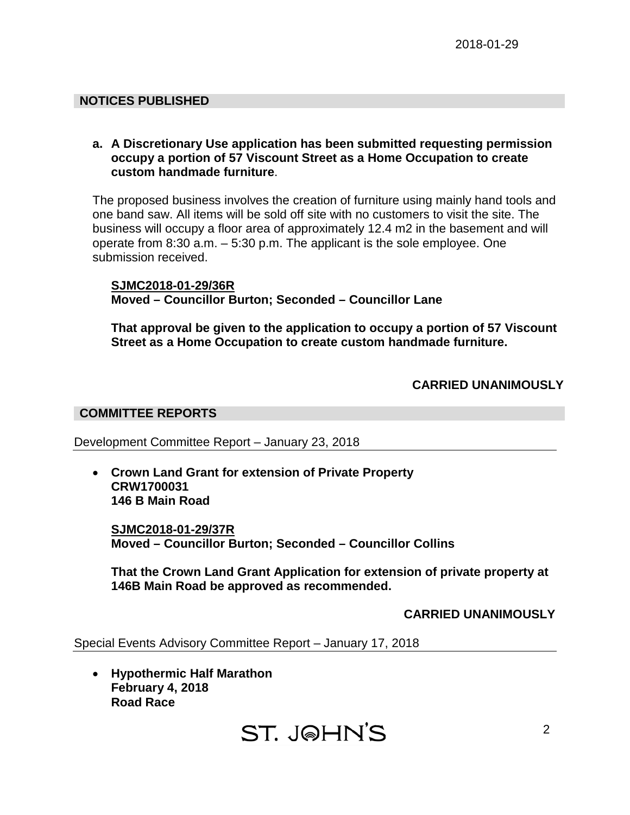## **NOTICES PUBLISHED**

#### **a. A Discretionary Use application has been submitted requesting permission occupy a portion of 57 Viscount Street as a Home Occupation to create custom handmade furniture**.

The proposed business involves the creation of furniture using mainly hand tools and one band saw. All items will be sold off site with no customers to visit the site. The business will occupy a floor area of approximately 12.4 m2 in the basement and will operate from 8:30 a.m. – 5:30 p.m. The applicant is the sole employee. One submission received.

#### **SJMC2018-01-29/36R Moved – Councillor Burton; Seconded – Councillor Lane**

**That approval be given to the application to occupy a portion of 57 Viscount Street as a Home Occupation to create custom handmade furniture.**

## **CARRIED UNANIMOUSLY**

#### **COMMITTEE REPORTS**

Development Committee Report – January 23, 2018

• **Crown Land Grant for extension of Private Property CRW1700031 146 B Main Road**

**SJMC2018-01-29/37R Moved – Councillor Burton; Seconded – Councillor Collins**

**That the Crown Land Grant Application for extension of private property at 146B Main Road be approved as recommended.**

## **CARRIED UNANIMOUSLY**

Special Events Advisory Committee Report – January 17, 2018

• **Hypothermic Half Marathon February 4, 2018 Road Race**

**ST. JOHN'S**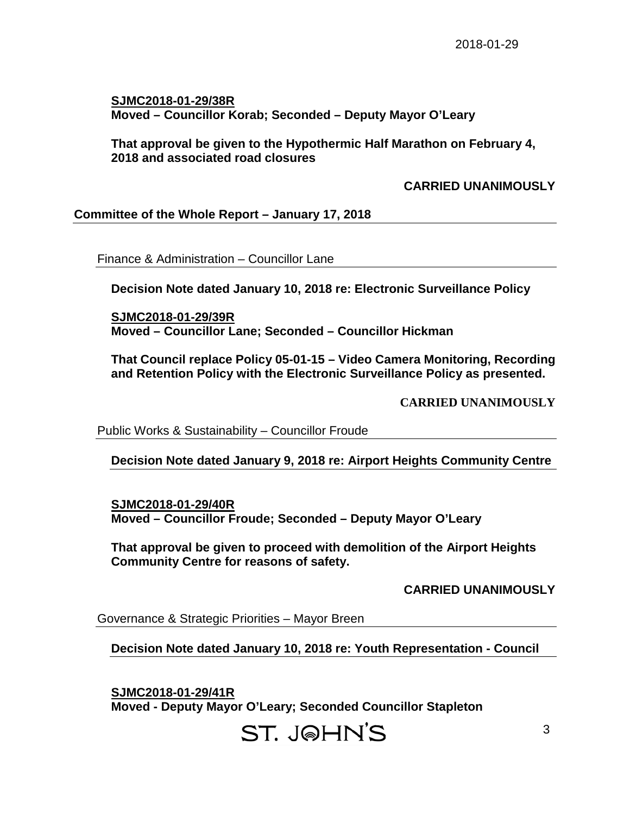**SJMC2018-01-29/38R Moved – Councillor Korab; Seconded – Deputy Mayor O'Leary**

**That approval be given to the Hypothermic Half Marathon on February 4, 2018 and associated road closures**

**CARRIED UNANIMOUSLY**

**Committee of the Whole Report – January 17, 2018**

Finance & Administration – Councillor Lane

**Decision Note dated January 10, 2018 re: Electronic Surveillance Policy**

**SJMC2018-01-29/39R Moved – Councillor Lane; Seconded – Councillor Hickman**

**That Council replace Policy 05-01-15 – Video Camera Monitoring, Recording and Retention Policy with the Electronic Surveillance Policy as presented.**

**CARRIED UNANIMOUSLY**

Public Works & Sustainability – Councillor Froude

**Decision Note dated January 9, 2018 re: Airport Heights Community Centre**

**SJMC2018-01-29/40R Moved – Councillor Froude; Seconded – Deputy Mayor O'Leary**

**That approval be given to proceed with demolition of the Airport Heights Community Centre for reasons of safety.**

**CARRIED UNANIMOUSLY**

Governance & Strategic Priorities – Mayor Breen

**Decision Note dated January 10, 2018 re: Youth Representation - Council**

**SJMC2018-01-29/41R Moved - Deputy Mayor O'Leary; Seconded Councillor Stapleton**

# ST. JOHN'S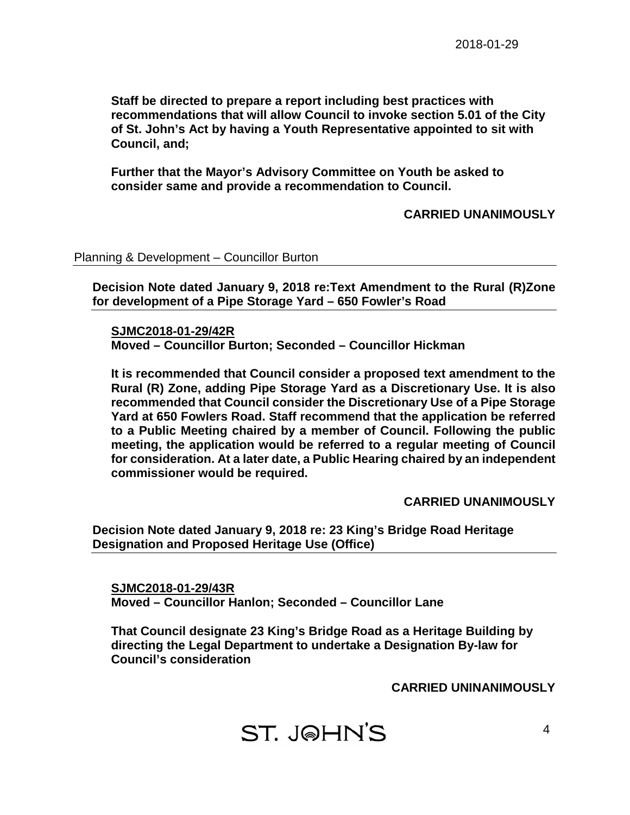**Staff be directed to prepare a report including best practices with recommendations that will allow Council to invoke section 5.01 of the City of St. John's Act by having a Youth Representative appointed to sit with Council, and;**

**Further that the Mayor's Advisory Committee on Youth be asked to consider same and provide a recommendation to Council.**

## **CARRIED UNANIMOUSLY**

Planning & Development – Councillor Burton

**Decision Note dated January 9, 2018 re:Text Amendment to the Rural (R)Zone for development of a Pipe Storage Yard – 650 Fowler's Road**

**SJMC2018-01-29/42R**

**Moved – Councillor Burton; Seconded – Councillor Hickman**

**It is recommended that Council consider a proposed text amendment to the Rural (R) Zone, adding Pipe Storage Yard as a Discretionary Use. It is also recommended that Council consider the Discretionary Use of a Pipe Storage Yard at 650 Fowlers Road. Staff recommend that the application be referred to a Public Meeting chaired by a member of Council. Following the public meeting, the application would be referred to a regular meeting of Council for consideration. At a later date, a Public Hearing chaired by an independent commissioner would be required.**

#### **CARRIED UNANIMOUSLY**

**Decision Note dated January 9, 2018 re: 23 King's Bridge Road Heritage Designation and Proposed Heritage Use (Office)**

**SJMC2018-01-29/43R Moved – Councillor Hanlon; Seconded – Councillor Lane**

**That Council designate 23 King's Bridge Road as a Heritage Building by directing the Legal Department to undertake a Designation By-law for Council's consideration**

**CARRIED UNINANIMOUSLY**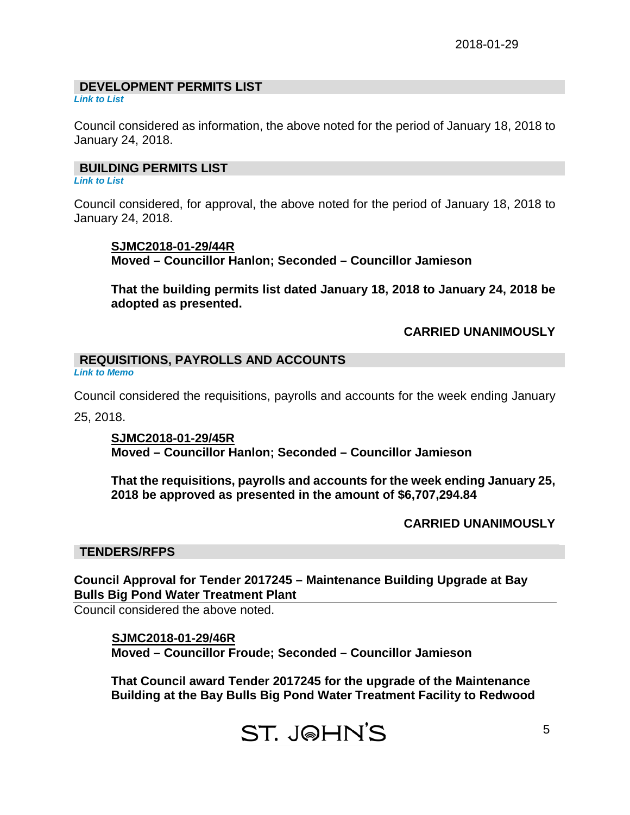# **DEVELOPMENT PERMITS LIST**

*Link to List*

Council considered as information, the above noted for the period of January 18, 2018 to January 24, 2018.

#### **BUILDING PERMITS LIST**

*Link to List*

Council considered, for approval, the above noted for the period of January 18, 2018 to January 24, 2018.

#### **SJMC2018-01-29/44R**

**Moved – Councillor Hanlon; Seconded – Councillor Jamieson**

**That the building permits list dated January 18, 2018 to January 24, 2018 be adopted as presented.**

**CARRIED UNANIMOUSLY**

## **REQUISITIONS, PAYROLLS AND ACCOUNTS**

*Link to Memo*

Council considered the requisitions, payrolls and accounts for the week ending January 25, 2018.

**SJMC2018-01-29/45R Moved – Councillor Hanlon; Seconded – Councillor Jamieson**

**That the requisitions, payrolls and accounts for the week ending January 25, 2018 be approved as presented in the amount of \$6,707,294.84**

# **CARRIED UNANIMOUSLY**

## **TENDERS/RFPS**

**Council Approval for Tender 2017245 – Maintenance Building Upgrade at Bay Bulls Big Pond Water Treatment Plant**

Council considered the above noted.

## **SJMC2018-01-29/46R Moved – Councillor Froude; Seconded – Councillor Jamieson**

**That Council award Tender 2017245 for the upgrade of the Maintenance Building at the Bay Bulls Big Pond Water Treatment Facility to Redwood**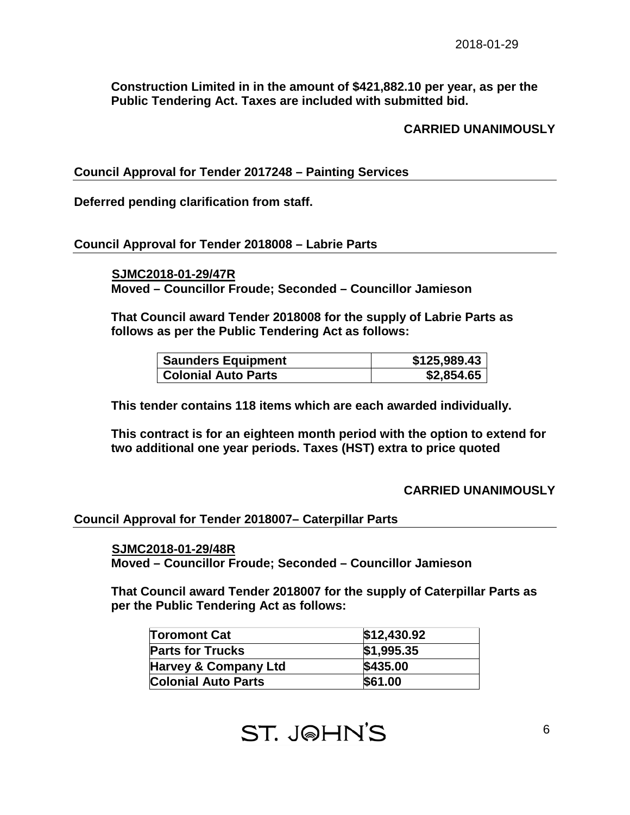**Construction Limited in in the amount of \$421,882.10 per year, as per the Public Tendering Act. Taxes are included with submitted bid.**

**CARRIED UNANIMOUSLY**

**Council Approval for Tender 2017248 – Painting Services**

**Deferred pending clarification from staff.** 

#### **Council Approval for Tender 2018008 – Labrie Parts**

 **SJMC2018-01-29/47R**

**Moved – Councillor Froude; Seconded – Councillor Jamieson**

**That Council award Tender 2018008 for the supply of Labrie Parts as follows as per the Public Tendering Act as follows:** 

| <b>Saunders Equipment</b>  | \$125,989.43 |
|----------------------------|--------------|
| <b>Colonial Auto Parts</b> | \$2,854.65   |

**This tender contains 118 items which are each awarded individually.**

**This contract is for an eighteen month period with the option to extend for two additional one year periods. Taxes (HST) extra to price quoted**

#### **CARRIED UNANIMOUSLY**

#### **Council Approval for Tender 2018007– Caterpillar Parts**

#### **SJMC2018-01-29/48R**

**Moved – Councillor Froude; Seconded – Councillor Jamieson**

**That Council award Tender 2018007 for the supply of Caterpillar Parts as per the Public Tendering Act as follows:**

| <b>Toromont Cat</b>             | \$12,430.92 |
|---------------------------------|-------------|
| <b>Parts for Trucks</b>         | \$1,995.35  |
| <b>Harvey &amp; Company Ltd</b> | \$435.00    |
| <b>Colonial Auto Parts</b>      | \$61.00     |